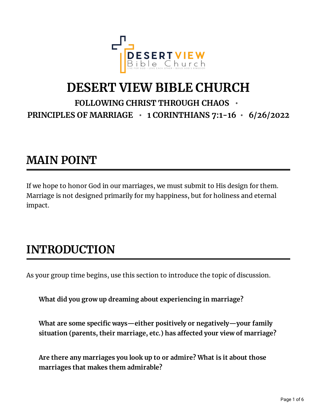

## **DESERT VIEW BIBLE CHURCH FOLLOWING CHRIST THROUGH CHAOS •**

**PRINCIPLES OF MARRIAGE • 1 CORINTHIANS 7:1-16 • 6/26/2022**

## **MAIN POINT**

If we hope to honor God in our marriages, we must submit to His design for them. Marriage is not designed primarily for my happiness, but for holiness and eternal impact.

## **INTRODUCTION**

As your group time begins, use this section to introduce the topic of discussion.

**What did you grow up dreaming about experiencing in marriage?**

**What** are some specific ways—either positively or negatively—your family **situation** (parents, their marriage, etc.) has affected your view of marriage?

**Are there any marriages you look up to or admire? What is it about those marriages that makes them admirable?**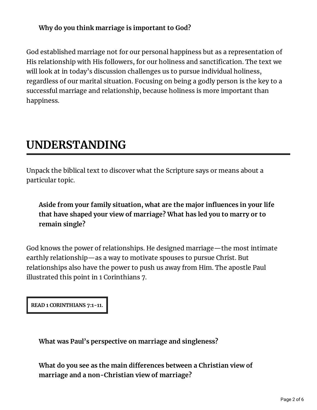#### **Why do you think marriage is important to God?**

God established marriage not for our personal happiness but as a representation of His relationship with His followers, for our holiness and sanctification. The text we will look at in today's discussion challenges us to pursue individual holiness, regardless of our marital situation. Focusing on being a godly person is the key to a successful marriage and relationship, because holiness is more important than happiness.

## **UNDERSTANDING**

Unpack the biblical text to discover what the Scripture says or means about a particular topic.

**Aside from your family situation, what are the major inuences in your life that have shaped your view of marriage? What has led you to marry or to remain single?**

God knows the power of relationships. He designed marriage—the most intimate earthly relationship—as a way to motivate spouses to pursue Christ. But relationships also have the power to push us away from Him. The apostle Paul illustrated this point in 1 Corinthians 7.

**READ 1 CORINTHIANS 7:1-11.**

**What was Paul's perspective on marriage and singleness?**

**What do you see as the main dierences between a Christian view of marriage and a non-Christian view of marriage?**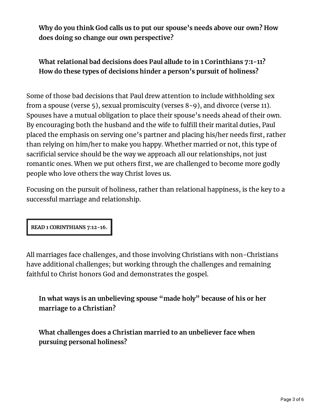**Why do you think God calls us to put our spouse's needs above our own? How does doing so change our own perspective?**

### **What relational bad decisions does Paul allude to in 1 Corinthians 7:1-11? How do these types of decisions hinder a person's pursuit of holiness?**

Some of those bad decisions that Paul drew attention to include withholding sex from a spouse (verse 5), sexual promiscuity (verses 8-9), and divorce (verse 11). Spouses have a mutual obligation to place their spouse's needs ahead of their own. By encouraging both the husband and the wife to fulfill their marital duties, Paul placed the emphasis on serving one's partner and placing his/her needs first, rather than relying on him/her to make you happy. Whether married or not, this type of sacrificial service should be the way we approach all our relationships, not just romantic ones. When we put others first, we are challenged to become more godly people who love others the way Christ loves us.

Focusing on the pursuit of holiness, rather than relational happiness, is the key to a successful marriage and relationship.

**READ 1 CORINTHIANS 7:12-16.**

All marriages face challenges, and those involving Christians with non-Christians have additional challenges; but working through the challenges and remaining faithful to Christ honors God and demonstrates the gospel.

**In what ways is an unbelieving spouse "made holy" because of his or her marriage to a Christian?**

**What challenges does a Christian married to an unbeliever face when pursuing personal holiness?**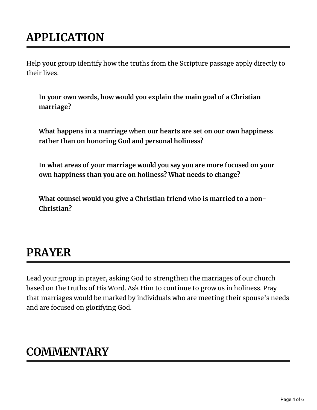# **APPLICATION**

Help your group identify how the truths from the Scripture passage apply directly to their lives.

**In your own words, how would you explain the main goal of a Christian marriage?**

**What happens in a marriage when our hearts are set on our own happiness rather than on honoring God and personal holiness?**

**In what areas of your marriage would you say you are more focused on your own happiness than you are on holiness? What needs to change?**

**What counsel would you give a Christian friend who is married to a non-Christian?**

## **PRAYER**

Lead your group in prayer, asking God to strengthen the marriages of our church based on the truths of His Word. Ask Him to continue to grow us in holiness. Pray that marriages would be marked by individuals who are meeting their spouse's needs and are focused on glorifying God.

## **COMMENTARY**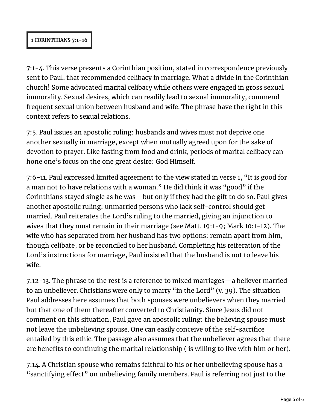#### **1 CORINTHIANS 7:1-16**

7:1-4. This verse presents a Corinthian position, stated in correspondence previously sent to Paul, that recommended celibacy in marriage. What a divide in the Corinthian church! Some advocated marital celibacy while others were engaged in gross sexual immorality. Sexual desires, which can readily lead to sexual immorality, commend frequent sexual union between husband and wife. The phrase have the right in this context refers to sexual relations.

7:5. Paul issues an apostolic ruling: husbands and wives must not deprive one another sexually in marriage, except when mutually agreed upon for the sake of devotion to prayer. Like fasting from food and drink, periods of marital celibacy can hone one's focus on the one great desire: God Himself.

7:6-11. Paul expressed limited agreement to the view stated in verse 1, "It is good for a man not to have relations with a woman." He did think it was "good" if the Corinthians stayed single as he was—but only if they had the gift to do so. Paul gives another apostolic ruling: unmarried persons who lack self-control should get married. Paul reiterates the Lord's ruling to the married, giving an injunction to wives that they must remain in their marriage (see Matt. 19:1-9; Mark 10:1-12). The wife who has separated from her husband has two options: remain apart from him, though celibate, or be reconciled to her husband. Completing his reiteration of the Lord's instructions for marriage, Paul insisted that the husband is not to leave his wife.

7:12-13. The phrase to the rest is a reference to mixed marriages—a believer married to an unbeliever. Christians were only to marry "in the Lord" (v. 39). The situation Paul addresses here assumes that both spouses were unbelievers when they married but that one of them thereafter converted to Christianity. Since Jesus did not comment on this situation, Paul gave an apostolic ruling: the believing spouse must not leave the unbelieving spouse. One can easily conceive of the self-sacrifice entailed by this ethic. The passage also assumes that the unbeliever agrees that there are benefits to continuing the marital relationship (is willing to live with him or her).

7:14. A Christian spouse who remains faithful to his or her unbelieving spouse has a "sanctifying effect" on unbelieving family members. Paul is referring not just to the